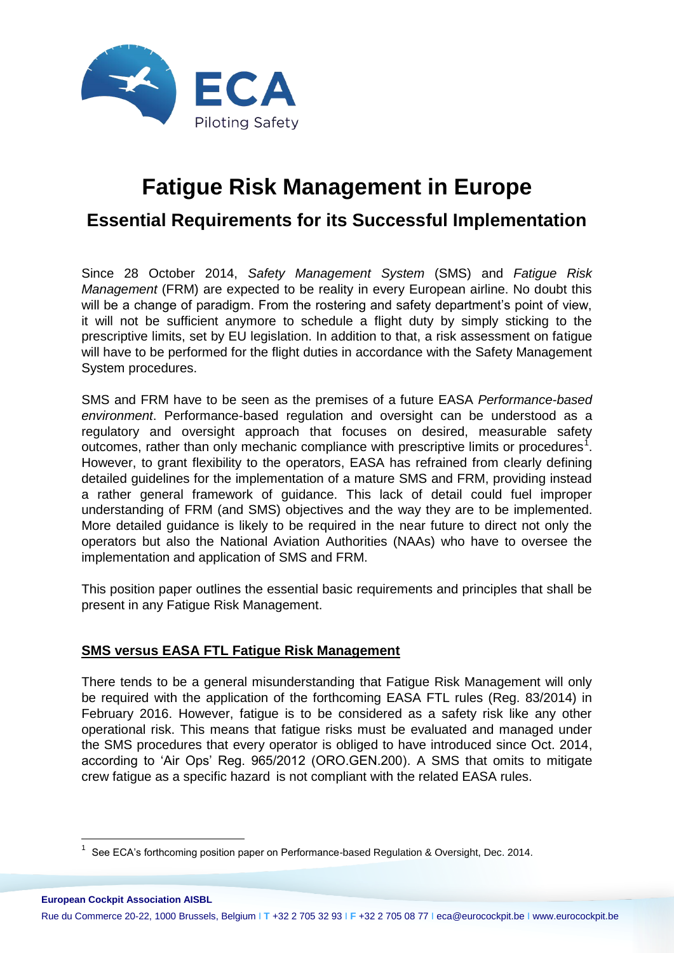

# **Fatigue Risk Management in Europe**

## **Essential Requirements for its Successful Implementation**

Since 28 October 2014, *Safety Management System* (SMS) and *Fatigue Risk Management* (FRM) are expected to be reality in every European airline. No doubt this will be a change of paradigm. From the rostering and safety department's point of view, it will not be sufficient anymore to schedule a flight duty by simply sticking to the prescriptive limits, set by EU legislation. In addition to that, a risk assessment on fatigue will have to be performed for the flight duties in accordance with the Safety Management System procedures.

SMS and FRM have to be seen as the premises of a future EASA *Performance-based environment*. Performance-based regulation and oversight can be understood as a regulatory and oversight approach that focuses on desired, measurable safety outcomes, rather than only mechanic compliance with prescriptive limits or procedures<sup>1</sup>. However, to grant flexibility to the operators, EASA has refrained from clearly defining detailed guidelines for the implementation of a mature SMS and FRM, providing instead a rather general framework of guidance. This lack of detail could fuel improper understanding of FRM (and SMS) objectives and the way they are to be implemented. More detailed guidance is likely to be required in the near future to direct not only the operators but also the National Aviation Authorities (NAAs) who have to oversee the implementation and application of SMS and FRM.

This position paper outlines the essential basic requirements and principles that shall be present in any Fatigue Risk Management.

### **SMS versus EASA FTL Fatigue Risk Management**

1

There tends to be a general misunderstanding that Fatigue Risk Management will only be required with the application of the forthcoming EASA FTL rules (Reg. 83/2014) in February 2016. However, fatigue is to be considered as a safety risk like any other operational risk. This means that fatigue risks must be evaluated and managed under the SMS procedures that every operator is obliged to have introduced since Oct. 2014, according to 'Air Ops' Reg. 965/2012 (ORO.GEN.200). A SMS that omits to mitigate crew fatigue as a specific hazard is not compliant with the related EASA rules.

**European Cockpit Association AISBL** Rue du Commerce 20-22, 1000 Brussels, Belgium I **T** +32 2 705 32 93 I **F** +32 2 705 08 77 I eca@eurocockpit.be I www.eurocockpit.be

 $1$  See ECA's forthcoming position paper on Performance-based Regulation & Oversight, Dec. 2014.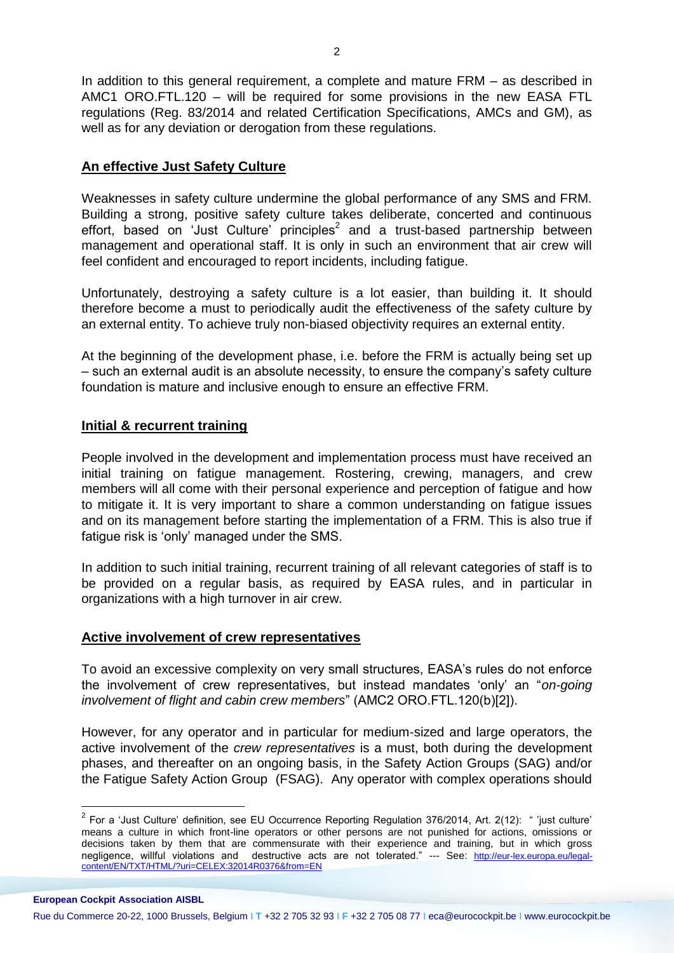In addition to this general requirement, a complete and mature FRM – as described in AMC1 ORO.FTL.120 – will be required for some provisions in the new EASA FTL regulations (Reg. 83/2014 and related Certification Specifications, AMCs and GM), as well as for any deviation or derogation from these regulations.

#### **An effective Just Safety Culture**

Weaknesses in safety culture undermine the global performance of any SMS and FRM. Building a strong, positive safety culture takes deliberate, concerted and continuous effort, based on 'Just Culture' principles<sup>2</sup> and a trust-based partnership between management and operational staff. It is only in such an environment that air crew will feel confident and encouraged to report incidents, including fatigue.

Unfortunately, destroying a safety culture is a lot easier, than building it. It should therefore become a must to periodically audit the effectiveness of the safety culture by an external entity. To achieve truly non-biased objectivity requires an external entity.

At the beginning of the development phase, i.e. before the FRM is actually being set up – such an external audit is an absolute necessity, to ensure the company's safety culture foundation is mature and inclusive enough to ensure an effective FRM.

#### **Initial & recurrent training**

People involved in the development and implementation process must have received an initial training on fatigue management. Rostering, crewing, managers, and crew members will all come with their personal experience and perception of fatigue and how to mitigate it. It is very important to share a common understanding on fatigue issues and on its management before starting the implementation of a FRM. This is also true if fatigue risk is 'only' managed under the SMS.

In addition to such initial training, recurrent training of all relevant categories of staff is to be provided on a regular basis, as required by EASA rules, and in particular in organizations with a high turnover in air crew.

#### **Active involvement of crew representatives**

To avoid an excessive complexity on very small structures, EASA's rules do not enforce the involvement of crew representatives, but instead mandates 'only' an "*on-going involvement of flight and cabin crew members*" (AMC2 ORO.FTL.120(b)[2]).

However, for any operator and in particular for medium-sized and large operators, the active involvement of the *crew representatives* is a must, both during the development phases, and thereafter on an ongoing basis, in the Safety Action Groups (SAG) and/or the Fatigue Safety Action Group (FSAG). Any operator with complex operations should

1

 $2$  For a 'Just Culture' definition, see EU Occurrence Reporting Regulation 376/2014, Art. 2(12): " 'just culture' means a culture in which front-line operators or other persons are not punished for actions, omissions or decisions taken by them that are commensurate with their experience and training, but in which gross negligence, willful violations and destructive acts are not tolerated." --- See: [http://eur-lex.europa.eu/legal](http://eur-lex.europa.eu/legal-content/EN/TXT/HTML/?uri=CELEX:32014R0376&from=EN)[content/EN/TXT/HTML/?uri=CELEX:32014R0376&from=EN](http://eur-lex.europa.eu/legal-content/EN/TXT/HTML/?uri=CELEX:32014R0376&from=EN)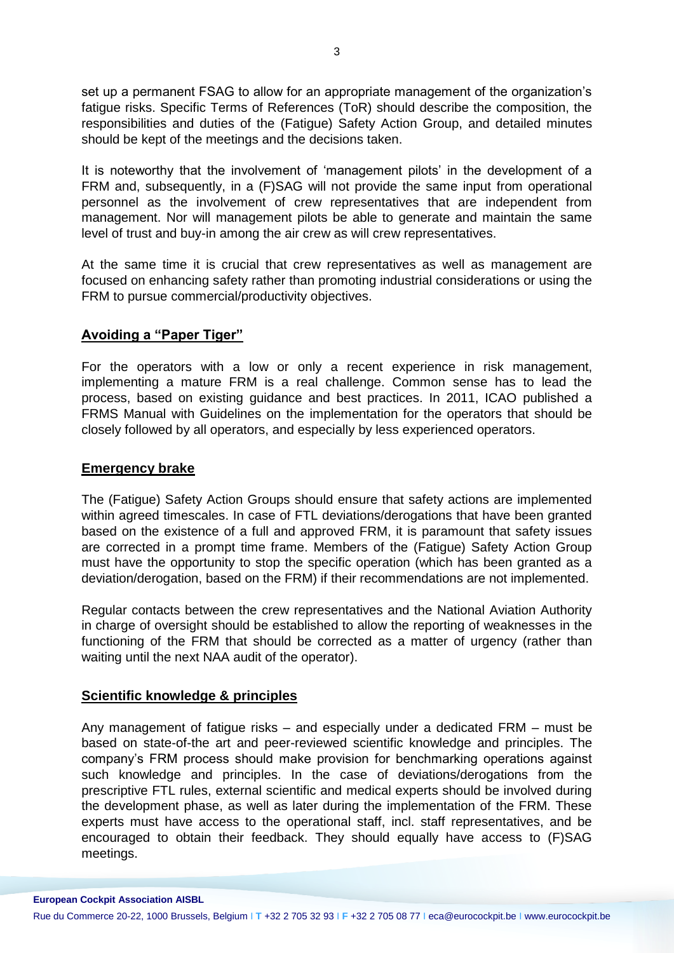set up a permanent FSAG to allow for an appropriate management of the organization's fatigue risks. Specific Terms of References (ToR) should describe the composition, the responsibilities and duties of the (Fatigue) Safety Action Group, and detailed minutes should be kept of the meetings and the decisions taken.

It is noteworthy that the involvement of 'management pilots' in the development of a FRM and, subsequently, in a (F)SAG will not provide the same input from operational personnel as the involvement of crew representatives that are independent from management. Nor will management pilots be able to generate and maintain the same level of trust and buy-in among the air crew as will crew representatives.

At the same time it is crucial that crew representatives as well as management are focused on enhancing safety rather than promoting industrial considerations or using the FRM to pursue commercial/productivity objectives.

#### **Avoiding a "Paper Tiger"**

For the operators with a low or only a recent experience in risk management, implementing a mature FRM is a real challenge. Common sense has to lead the process, based on existing guidance and best practices. In 2011, ICAO published a FRMS Manual with Guidelines on the implementation for the operators that should be closely followed by all operators, and especially by less experienced operators.

#### **Emergency brake**

**European Cockpit Association AISBL**

The (Fatigue) Safety Action Groups should ensure that safety actions are implemented within agreed timescales. In case of FTL deviations/derogations that have been granted based on the existence of a full and approved FRM, it is paramount that safety issues are corrected in a prompt time frame. Members of the (Fatigue) Safety Action Group must have the opportunity to stop the specific operation (which has been granted as a deviation/derogation, based on the FRM) if their recommendations are not implemented.

Regular contacts between the crew representatives and the National Aviation Authority in charge of oversight should be established to allow the reporting of weaknesses in the functioning of the FRM that should be corrected as a matter of urgency (rather than waiting until the next NAA audit of the operator).

#### **Scientific knowledge & principles**

Any management of fatigue risks – and especially under a dedicated FRM – must be based on state-of-the art and peer-reviewed scientific knowledge and principles. The company's FRM process should make provision for benchmarking operations against such knowledge and principles. In the case of deviations/derogations from the prescriptive FTL rules, external scientific and medical experts should be involved during the development phase, as well as later during the implementation of the FRM. These experts must have access to the operational staff, incl. staff representatives, and be encouraged to obtain their feedback. They should equally have access to (F)SAG meetings.